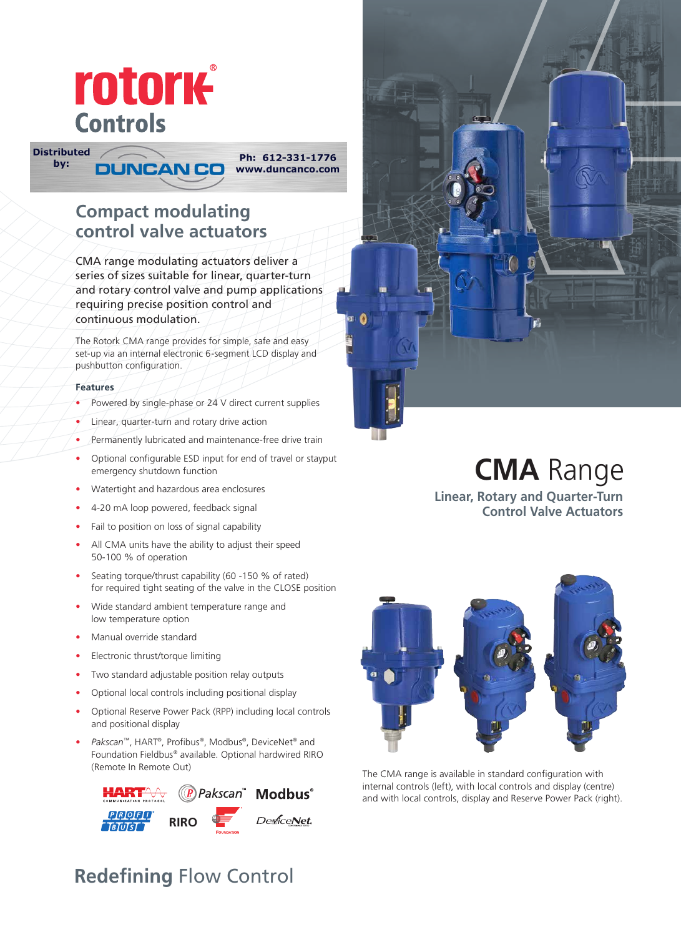

Ph: 612-331-1776 www.duncanco.com

# **Compact modulating control valve actuators**

**DUNCAN CO** 

CMA range modulating actuators deliver a series of sizes suitable for linear, quarter-turn and rotary control valve and pump applications requiring precise position control and continuous modulation.

The Rotork CMA range provides for simple, safe and easy set-up via an internal electronic 6-segment LCD display and pushbutton configuration.

#### **Features**

**Distributed** 

by:

- Powered by single-phase or 24 V direct current supplies
- Linear, quarter-turn and rotary drive action
- Permanently lubricated and maintenance-free drive train
- Optional configurable ESD input for end of travel or stayput emergency shutdown function
- Watertight and hazardous area enclosures
- 4-20 mA loop powered, feedback signal
- Fail to position on loss of signal capability
- All CMA units have the ability to adjust their speed 50-100 % of operation
- Seating torque/thrust capability (60 -150 % of rated) for required tight seating of the valve in the CLOSE position
- Wide standard ambient temperature range and low temperature option
- Manual override standard
- Electronic thrust/torque limiting
- Two standard adjustable position relay outputs
- Optional local controls including positional display
- Optional Reserve Power Pack (RPP) including local controls and positional display
- *Pakscan*™, HART®, Profibus®, Modbus®, DeviceNet® and Foundation Fieldbus® available. Optional hardwired RIRO (Remote In Remote Out)





# **CMA** Range

**Linear, Rotary and Quarter-Turn Control Valve Actuators**



The CMA range is available in standard configuration with internal controls (left), with local controls and display (centre) and with local controls, display and Reserve Power Pack (right).

# **Redefining** Flow Control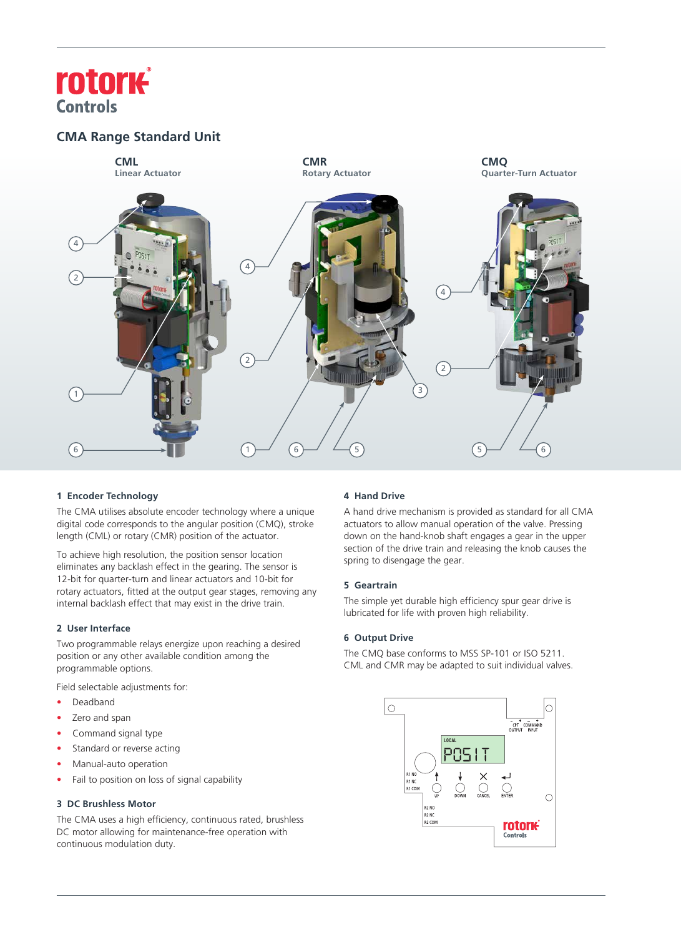# **rotork Controls**

# **CMA Range Standard Unit**



## **1 Encoder Technology**

The CMA utilises absolute encoder technology where a unique digital code corresponds to the angular position (CMQ), stroke length (CML) or rotary (CMR) position of the actuator.

To achieve high resolution, the position sensor location eliminates any backlash effect in the gearing. The sensor is 12-bit for quarter-turn and linear actuators and 10-bit for rotary actuators, fitted at the output gear stages, removing any internal backlash effect that may exist in the drive train.

## **2 User Interface**

Two programmable relays energize upon reaching a desired position or any other available condition among the programmable options.

Field selectable adjustments for:

- Deadband
- Zero and span
- Command signal type
- Standard or reverse acting
- Manual-auto operation
- Fail to position on loss of signal capability

## **3 DC Brushless Motor**

The CMA uses a high efficiency, continuous rated, brushless DC motor allowing for maintenance-free operation with continuous modulation duty.

# **4 Hand Drive**

A hand drive mechanism is provided as standard for all CMA actuators to allow manual operation of the valve. Pressing down on the hand-knob shaft engages a gear in the upper section of the drive train and releasing the knob causes the spring to disengage the gear.

## **5 Geartrain**

The simple yet durable high efficiency spur gear drive is lubricated for life with proven high reliability.

## **6 Output Drive**

The CMQ base conforms to MSS SP-101 or ISO 5211. CML and CMR may be adapted to suit individual valves.

![](_page_1_Picture_23.jpeg)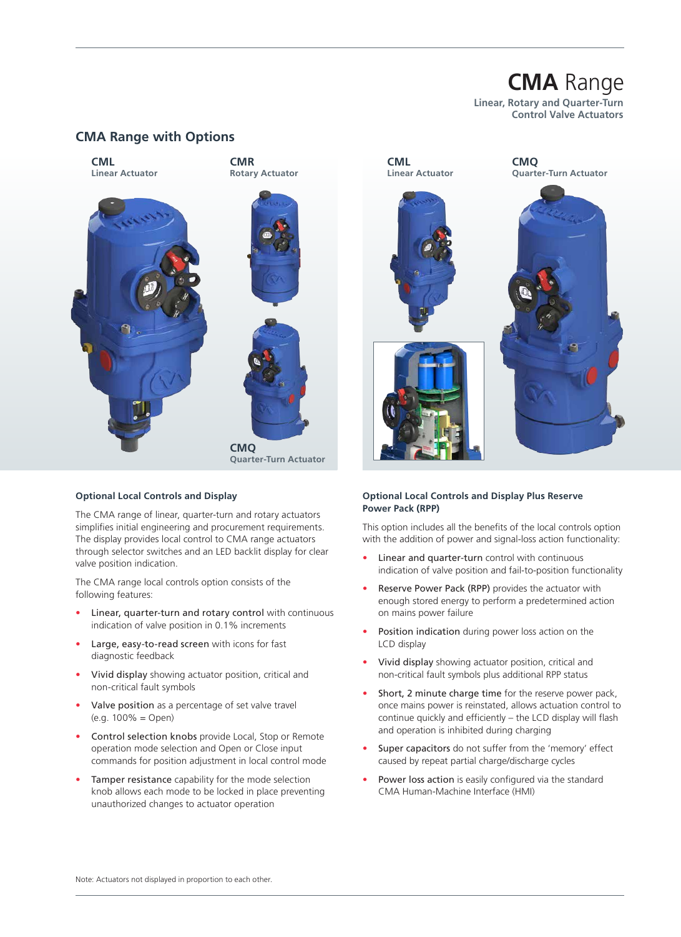# **CMA** Range

**Linear, Rotary and Quarter-Turn Control Valve Actuators**

# **CMA Range with Options**

![](_page_2_Picture_3.jpeg)

#### **Optional Local Controls and Display**

The CMA range of linear, quarter-turn and rotary actuators simplifies initial engineering and procurement requirements. The display provides local control to CMA range actuators through selector switches and an LED backlit display for clear valve position indication.

The CMA range local controls option consists of the following features:

- Linear, quarter-turn and rotary control with continuous indication of valve position in 0.1% increments
- Large, easy-to-read screen with icons for fast diagnostic feedback
- Vivid display showing actuator position, critical and non-critical fault symbols
- Valve position as a percentage of set valve travel  $(e.g. 100\% = Open)$
- Control selection knobs provide Local, Stop or Remote operation mode selection and Open or Close input commands for position adjustment in local control mode
- Tamper resistance capability for the mode selection knob allows each mode to be locked in place preventing unauthorized changes to actuator operation

#### **Optional Local Controls and Display Plus Reserve Power Pack (RPP)**

This option includes all the benefits of the local controls option with the addition of power and signal-loss action functionality:

- Linear and quarter-turn control with continuous indication of valve position and fail-to-position functionality
- Reserve Power Pack (RPP) provides the actuator with enough stored energy to perform a predetermined action on mains power failure
- Position indication during power loss action on the LCD display
- Vivid display showing actuator position, critical and non-critical fault symbols plus additional RPP status
- Short, 2 minute charge time for the reserve power pack, once mains power is reinstated, allows actuation control to continue quickly and efficiently – the LCD display will flash and operation is inhibited during charging
- Super capacitors do not suffer from the 'memory' effect caused by repeat partial charge/discharge cycles
- Power loss action is easily configured via the standard CMA Human-Machine Interface (HMI)